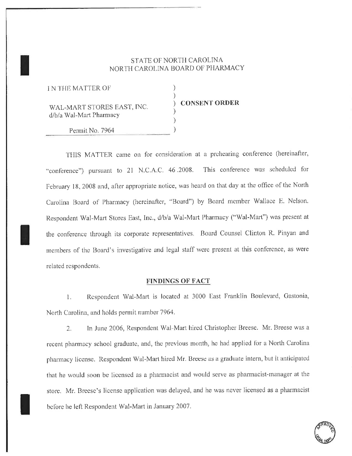### STATE OF NORTH CAROLINA NORTH CAROLINA BOARD OF PHARMACY

| <b>IN THE MATTER OF</b><br>WAL-MART STORES EAST, INC.<br>d/b/a Wal-Mart Pharmacy | <b>CONSENT ORDER</b> |
|----------------------------------------------------------------------------------|----------------------|
| Permit No. 7964                                                                  |                      |

THIS MATTER came on for consideration at a prehearing conference (hereinafter, "conference") pursuant to 21 N.C.A.C. 46.2008. This conference was scheduled for February 18, 2008 and, after appropriate notice, was heard on that day at the office of the North Carolina Board of Pharmacy (hereinafter, "Board") by Board member Wallace E. Nelson. Respondent Wal-Mart Stores East, Inc., d/b/a Wal-Mart Pharmacy ("Wal-Mart") was present at the conference through its corporate representatives. Board Counsel Clinton R. Pinyan and members of the Board's investigative and legal staff were present at this conference, as were related respondents.

### **FINDINGS OF FACT**

Respondent Wal-Mart is located at 3000 East Franklin Boulevard, Gastonia, 1. North Carolina, and holds permit number 7964.

In June 2006, Respondent Wal-Mart hired Christopher Breese. Mr. Breese was a  $2.$ recent pharmacy school graduate, and, the previous month, he had applied for a North Carolina pharmacy license. Respondent Wal-Mart hired Mr. Breese as a graduate intern, but it anticipated that he would soon be licensed as a pharmacist and would serve as pharmacist-manager at the store. Mr. Breese's license application was delayed, and he was never licensed as a pharmacist before he left Respondent Wal-Mart in January 2007.

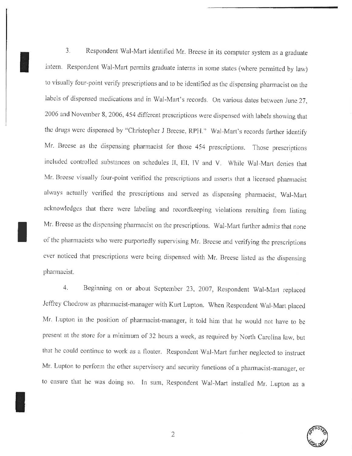$3<sub>1</sub>$ Respondent Wal-Mart identified Mr. Breese in its computer system as a graduate intern. Respondent Wal-Mart permits graduate interns in some states (where permitted by law) to visually four-point verify prescriptions and to be identified as the dispensing pharmacist on the labels of dispensed medications and in Wal-Mart's records. On various dates between June 27, 2006 and November 8, 2006, 454 different prescriptions were dispensed with labels showing that the drugs were dispensed by "Christopher J Breese, RPH." Wal-Mart's records further identify Mr. Breese as the dispensing pharmacist for those 454 prescriptions. Those prescriptions included controlled substances on schedules II, III, IV and V. While Wal-Mart denies that Mr. Breese visually four-point verified the prescriptions and asserts that a licensed pharmacist always actually verified the prescriptions and served as dispensing pharmacist, Wal-Mart acknowledges that there were labeling and recordkeeping violations resulting from listing Mr. Breese as the dispensing pharmacist on the prescriptions. Wal-Mart further admits that none of the pharmacists who were purportedly supervising Mr. Breese and verifying the prescriptions ever noticed that prescriptions were being dispensed with Mr. Breese listed as the dispensing pharmacist.

Beginning on or about September 23, 2007, Respondent Wal-Mart replaced  $4.$ Jeffrey Chodrow as pharmacist-manager with Kurt Lupton. When Respondent Wal-Mart placed Mr. Lupton in the position of pharmacist-manager, it told him that he would not have to be present at the store for a minimum of 32 hours a week, as required by North Carolina law, but that he could continue to work as a floater. Respondent Wal-Mart further neglected to instruct Mr. Lupton to perform the other supervisory and security functions of a pharmacist-manager, or to ensure that he was doing so. In sum, Respondent Wal-Mart installed Mr. Lupton as a

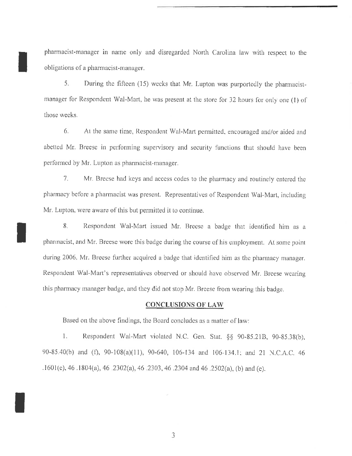pharmacist-manager in name only and disregarded North Carolina law with respect to the obligations of a pharmacist-manager.

5. During the fifteen (15) weeks that Mr. Lupton was purportedly the pharmacistmanager for Respondent Wal-Mart, he was present at the store for 32 hours for only one (1) of those weeks.

6. At the same time, Respondent Wal-Mart permitted, encouraged and/or aided and abetted Mr. Breese in performing supervisory and security functions that should have been performed by Mr. Lupton as pharmacist-manager.

7. Mr. Breese had keys and access codes to the pharmacy and routinely entered the pharmacy before a pharmacist was present. Representatives of Respondent Wal-Mart, including Mr. Lupton, were aware of this but permitted it to continue.

8. Respondent Wal-Mart issued Mr. Breese a badge that identified him as a pharmacist, and Mr. Breese wore this badge during the course of his employment. At some point during 2006. Mr. Breese further acquired a badge that identified him as the pharmacy manager. Respondent Wal-Mart's representatives observed or should have observed Mr. Breese wearing this pharmacy manager badge, and they did not stop Mr. Breese from wearing this badge.

### **CONCLUSIONS OF LAW**

Based on the above findings, the Board concludes as a matter of law:

Respondent Wal-Mart violated N.C. Gen. Stat. §§ 90-85.21B, 90-85.38(b), 1. 90-85.40(b) and (f), 90-108(a)(11), 90-640, 106-134 and 106-134.1; and 21 N.C.A.C. 46 .1601(e), 46 .1804(a), 46 .2302(a), 46 .2303, 46 .2304 and 46 .2502(a), (b) and (e).

3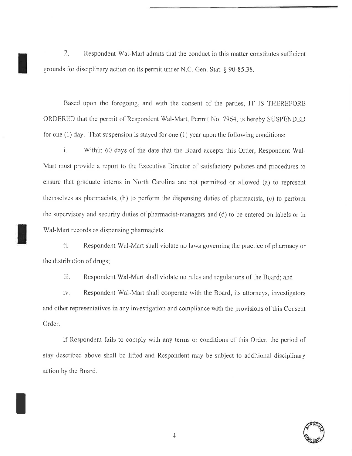2. Respondent Wal-Mart admits that the conduct in this matter constitutes sufficient grounds for disciplinary action on its permit under N.C. Gen. Stat. § 90-85.38.

Based upon the foregoing, and with the consent of the parties, IT IS THEREFORE ORDERED that the permit of Respondent Wal-Mart, Permit No. 7964, is hereby SUSPENDED for one  $(1)$  day. That suspension is stayed for one  $(1)$  year upon the following conditions:

i. Within 60 days of the date that the Board accepts this Order, Respondent Wal-Mart must provide a report to the Executive Director of satisfactory policies and procedures to ensure that graduate interns in North Carolina are not permitted or allowed (a) to represent themselves as pharmacists, (b) to perform the dispensing duties of pharmacists, (c) to perform the supervisory and security duties of pharmacist-managers and (d) to be entered on labels or in Wal-Mart records as dispensing pharmacists.

ii. Respondent Wal-Mart shall violate no laws governing the practice of pharmacy or the distribution of drugs;

iii. Respondent Wal-Mart shall violate no rules and regulations of the Board; and

iv. Respondent Wal-Mart shall cooperate with the Board, its attorneys, investigators and other representatives in any investigation and compliance with the provisions of this Consent Order.

If Respondent fails to comply with any terms or conditions of this Order, the period of stay described above shall be lifted and Respondent may be subject to additional disciplinary action by the Board.

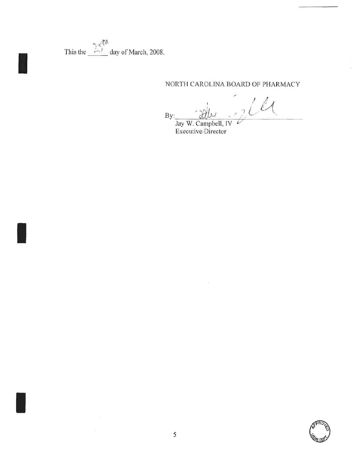This the  $\frac{25^{th}}{100}$  day of March, 2008.

## NORTH CAROLINA BOARD OF PHARMACY

 $2l$  $By:$ 

Jay W. Campbell, IV<br>Executive Director

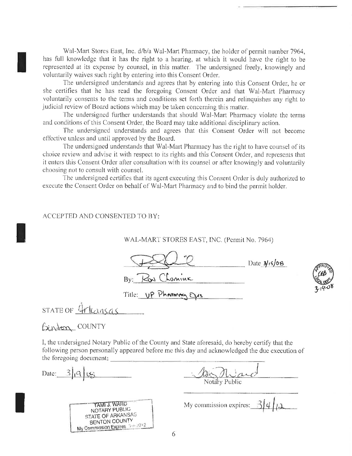Wal-Mart Stores East, Inc. d/b/a Wal-Mart Pharmacy, the holder of permit number 7964, has full knowledge that it has the right to a hearing, at which it would have the right to be represented at its expense by counsel, in this matter. The undersigned freely, knowingly and voluntarily waives such right by entering into this Consent Order.

The undersigned understands and agrees that by entering into this Consent Order, he or she certifies that he has read the foregoing Consent Order and that Wal-Mart Pharmacy voluntarily consents to the terms and conditions set forth therein and relinquishes any right to judicial review of Board actions which may be taken concerning this matter.

The undersigned further understands that should Wal-Mart Pharmacy violate the terms and conditions of this Consent Order, the Board may take additional disciplinary action.

The undersigned understands and agrees that this Consent Order will not become effective unless and until approved by the Board.

The undersigned understands that Wal-Mart Pharmacy has the right to have counsel of its choice review and advise it with respect to its rights and this Consent Order, and represents that it enters this Consent Order after consultation with its counsel or after knowingly and voluntarily choosing not to consult with counsel.

The undersigned certifies that its agent executing this Consent Order is duly authorized to execute the Consent Order on behalf of Wal-Mart Pharmacy and to bind the permit holder.

#### ACCEPTED AND CONSENTED TO BY:

WAL-MART STORES EAST, INC. (Permit No. 7964)

 $\Box$  Date  $\frac{3}{15}$ /08 By: Roy Chaniuk

Title: UP Phareman CVs



STATE OF <u>4rleansas</u>

# Binton COUNTY

I, the undersigned Notary Public of the County and State aforesaid, do hereby certify that the following person personally appeared before me this day and acknowledged the due execution of the foregoing document:

Date:  $3|9|0$ 

he Mia

TAMI J. WARD NOTARY PUBLIC STATE OF ARKANSAS BENTON COUNTY My Commission Expires 3-2-2012

My commission expires:  $3/4/12$